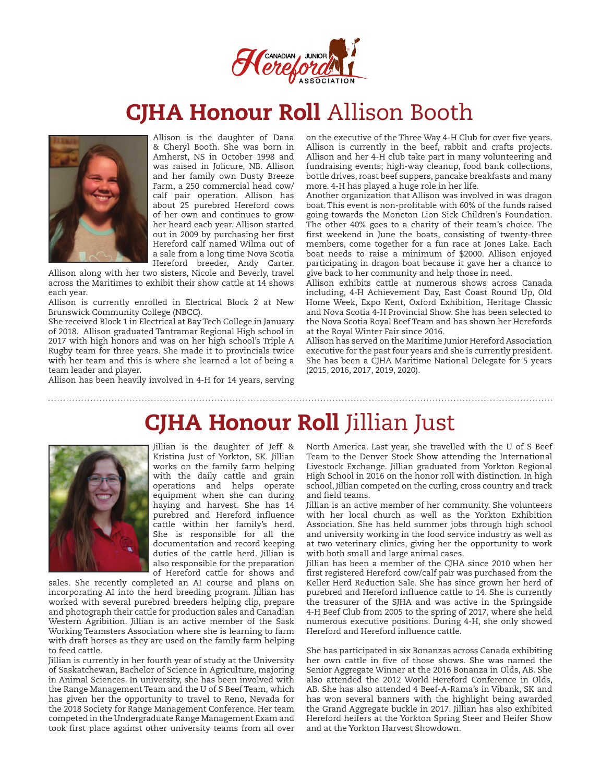

## CJHA Honour Roll Allison Booth



Allison is the daughter of Dana & Cheryl Booth. She was born in Amherst, NS in October 1998 and was raised in Jolicure, NB. Allison and her family own Dusty Breeze Farm, a 250 commercial head cow/ calf pair operation. Allison has about 25 purebred Hereford cows of her own and continues to grow her heard each year. Allison started out in 2009 by purchasing her first Hereford calf named Wilma out of a sale from a long time Nova Scotia Hereford breeder, Andy Carter.

Allison along with her two sisters, Nicole and Beverly, travel across the Maritimes to exhibit their show cattle at 14 shows each year.

Allison is currently enrolled in Electrical Block 2 at New Brunswick Community College (NBCC).

She received Block 1 in Electrical at Bay Tech College in January of 2018. Allison graduated Tantramar Regional High school in 2017 with high honors and was on her high school's Triple A Rugby team for three years. She made it to provincials twice with her team and this is where she learned a lot of being a team leader and player.

Allison has been heavily involved in 4-H for 14 years, serving

on the executive of the Three Way 4-H Club for over five years. Allison is currently in the beef, rabbit and crafts projects. Allison and her 4-H club take part in many volunteering and fundraising events; high-way cleanup, food bank collections, bottle drives, roast beef suppers, pancake breakfasts and many more. 4-H has played a huge role in her life.

Another organization that Allison was involved in was dragon boat. This event is non-profitable with 60% of the funds raised going towards the Moncton Lion Sick Children's Foundation. The other 40% goes to a charity of their team's choice. The first weekend in June the boats, consisting of twenty-three members, come together for a fun race at Jones Lake. Each boat needs to raise a minimum of \$2000. Allison enjoyed participating in dragon boat because it gave her a chance to give back to her community and help those in need.

Allison exhibits cattle at numerous shows across Canada including, 4-H Achievement Day, East Coast Round Up, Old Home Week, Expo Kent, Oxford Exhibition, Heritage Classic and Nova Scotia 4-H Provincial Show. She has been selected to the Nova Scotia Royal Beef Team and has shown her Herefords at the Royal Winter Fair since 2016.

Allison has served on the Maritime Junior Hereford Association executive for the past four years and she is currently president. She has been a CJHA Maritime National Delegate for 5 years (2015, 2016, 2017, 2019, 2020).

## CJHA Honour Roll Jillian Just



Jillian is the daughter of Jeff & Kristina Just of Yorkton, SK. Jillian works on the family farm helping with the daily cattle and grain operations and helps operate equipment when she can during haying and harvest. She has 14 purebred and Hereford influence cattle within her family's herd. She is responsible for all the documentation and record keeping duties of the cattle herd. Jillian is also responsible for the preparation of Hereford cattle for shows and

sales. She recently completed an AI course and plans on incorporating AI into the herd breeding program. Jillian has worked with several purebred breeders helping clip, prepare and photograph their cattle for production sales and Canadian Western Agribition. Jillian is an active member of the Sask Working Teamsters Association where she is learning to farm with draft horses as they are used on the family farm helping to feed cattle.

Jillian is currently in her fourth year of study at the University of Saskatchewan, Bachelor of Science in Agriculture, majoring in Animal Sciences. In university, she has been involved with the Range Management Team and the U of S Beef Team, which has given her the opportunity to travel to Reno, Nevada for the 2018 Society for Range Management Conference. Her team competed in the Undergraduate Range Management Exam and took first place against other university teams from all over

North America. Last year, she travelled with the U of S Beef Team to the Denver Stock Show attending the International Livestock Exchange. Jillian graduated from Yorkton Regional High School in 2016 on the honor roll with distinction. In high school, Jillian competed on the curling, cross country and track and field teams.

Jillian is an active member of her community. She volunteers with her local church as well as the Yorkton Exhibition Association. She has held summer jobs through high school and university working in the food service industry as well as at two veterinary clinics, giving her the opportunity to work with both small and large animal cases.

Jillian has been a member of the CJHA since 2010 when her first registered Hereford cow/calf pair was purchased from the Keller Herd Reduction Sale. She has since grown her herd of purebred and Hereford influence cattle to 14. She is currently the treasurer of the SJHA and was active in the Springside 4-H Beef Club from 2005 to the spring of 2017, where she held numerous executive positions. During 4-H, she only showed Hereford and Hereford influence cattle.

She has participated in six Bonanzas across Canada exhibiting her own cattle in five of those shows. She was named the Senior Aggregate Winner at the 2016 Bonanza in Olds, AB. She also attended the 2012 World Hereford Conference in Olds, AB. She has also attended 4 Beef-A-Rama's in Vibank, SK and has won several banners with the highlight being awarded the Grand Aggregate buckle in 2017. Jillian has also exhibited Hereford heifers at the Yorkton Spring Steer and Heifer Show and at the Yorkton Harvest Showdown.